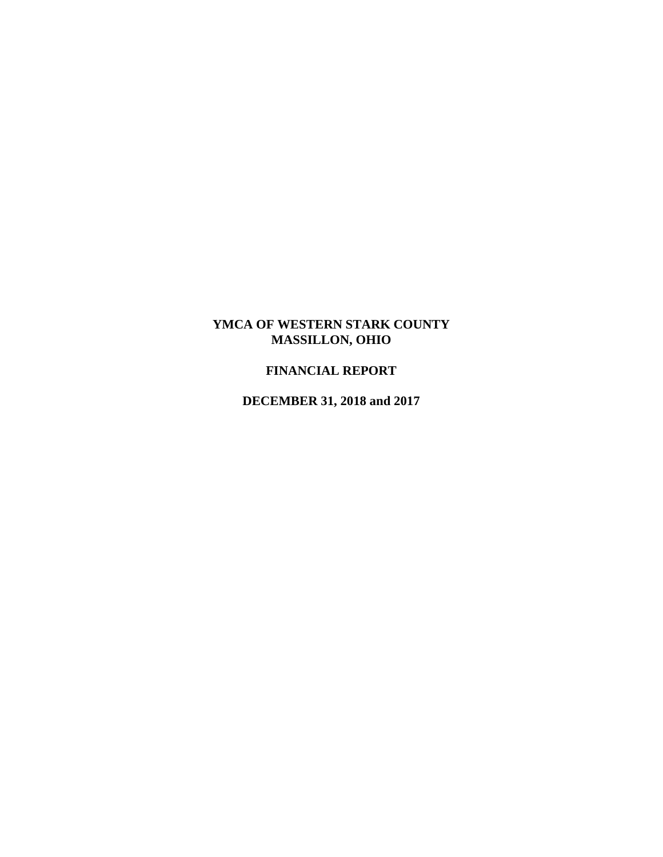# **YMCA OF WESTERN STARK COUNTY MASSILLON, OHIO**

# **FINANCIAL REPORT**

**DECEMBER 31, 2018 and 2017**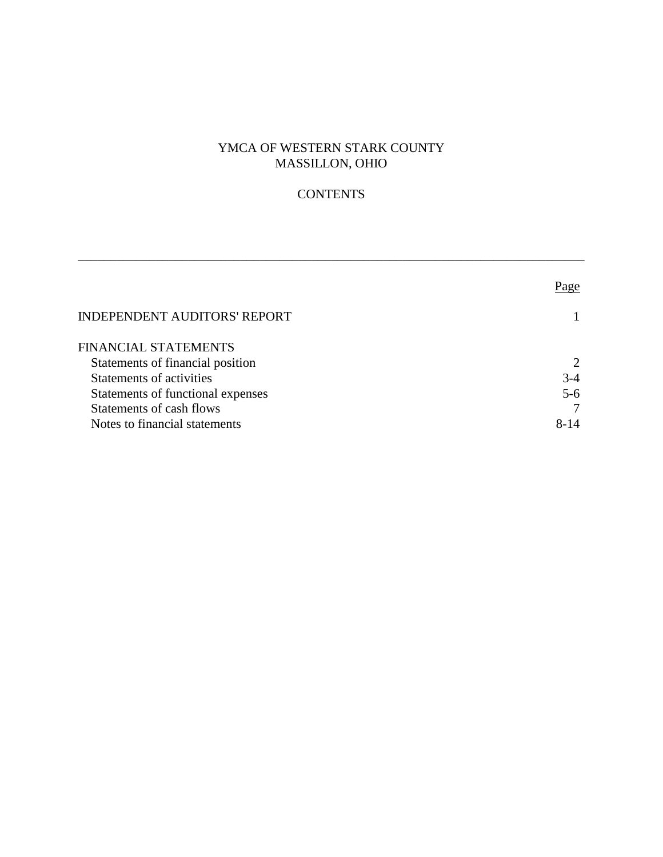# YMCA OF WESTERN STARK COUNTY MASSILLON, OHIO

# **CONTENTS**

\_\_\_\_\_\_\_\_\_\_\_\_\_\_\_\_\_\_\_\_\_\_\_\_\_\_\_\_\_\_\_\_\_\_\_\_\_\_\_\_\_\_\_\_\_\_\_\_\_\_\_\_\_\_\_\_\_\_\_\_\_\_\_\_\_\_\_\_\_\_\_\_\_\_\_\_\_\_

|                                     | Page                        |
|-------------------------------------|-----------------------------|
| <b>INDEPENDENT AUDITORS' REPORT</b> |                             |
| FINANCIAL STATEMENTS                |                             |
| Statements of financial position    | $\mathcal{D}_{\mathcal{L}}$ |
| <b>Statements of activities</b>     | $3-4$                       |
| Statements of functional expenses   | $5 - 6$                     |
| Statements of cash flows            |                             |
| Notes to financial statements       | $8 - 14$                    |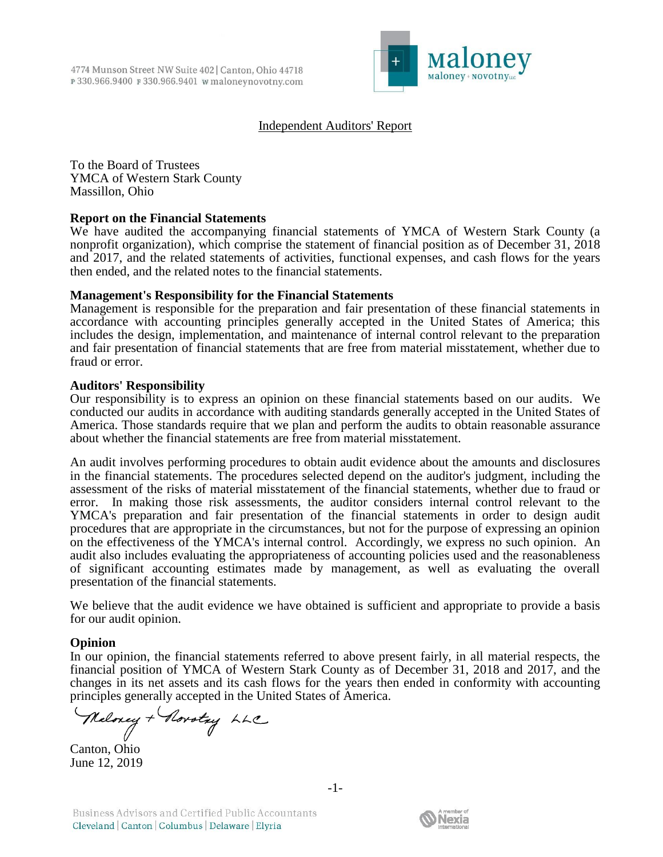

## Independent Auditors' Report

To the Board of Trustees YMCA of Western Stark County Massillon, Ohio

### **Report on the Financial Statements**

We have audited the accompanying financial statements of YMCA of Western Stark County (a nonprofit organization), which comprise the statement of financial position as of December 31, 2018 and 2017, and the related statements of activities, functional expenses, and cash flows for the years then ended, and the related notes to the financial statements.

### **Management's Responsibility for the Financial Statements**

Management is responsible for the preparation and fair presentation of these financial statements in accordance with accounting principles generally accepted in the United States of America; this includes the design, implementation, and maintenance of internal control relevant to the preparation and fair presentation of financial statements that are free from material misstatement, whether due to fraud or error.

### **Auditors' Responsibility**

Our responsibility is to express an opinion on these financial statements based on our audits. We conducted our audits in accordance with auditing standards generally accepted in the United States of America. Those standards require that we plan and perform the audits to obtain reasonable assurance about whether the financial statements are free from material misstatement.

An audit involves performing procedures to obtain audit evidence about the amounts and disclosures in the financial statements. The procedures selected depend on the auditor's judgment, including the assessment of the risks of material misstatement of the financial statements, whether due to fraud or error. In making those risk assessments, the auditor considers internal control relevant to the YMCA's preparation and fair presentation of the financial statements in order to design audit procedures that are appropriate in the circumstances, but not for the purpose of expressing an opinion on the effectiveness of the YMCA's internal control. Accordingly, we express no such opinion. An audit also includes evaluating the appropriateness of accounting policies used and the reasonableness of significant accounting estimates made by management, as well as evaluating the overall presentation of the financial statements.

We believe that the audit evidence we have obtained is sufficient and appropriate to provide a basis for our audit opinion.

### **Opinion**

In our opinion, the financial statements referred to above present fairly, in all material respects, the financial position of YMCA of Western Stark County as of December 31, 2018 and 2017, and the changes in its net assets and its cash flows for the years then ended in conformity with accounting principles generally accepted in the United States of America.

Neloney + Rorotry LLC

Canton, Ohio June 12, 2019

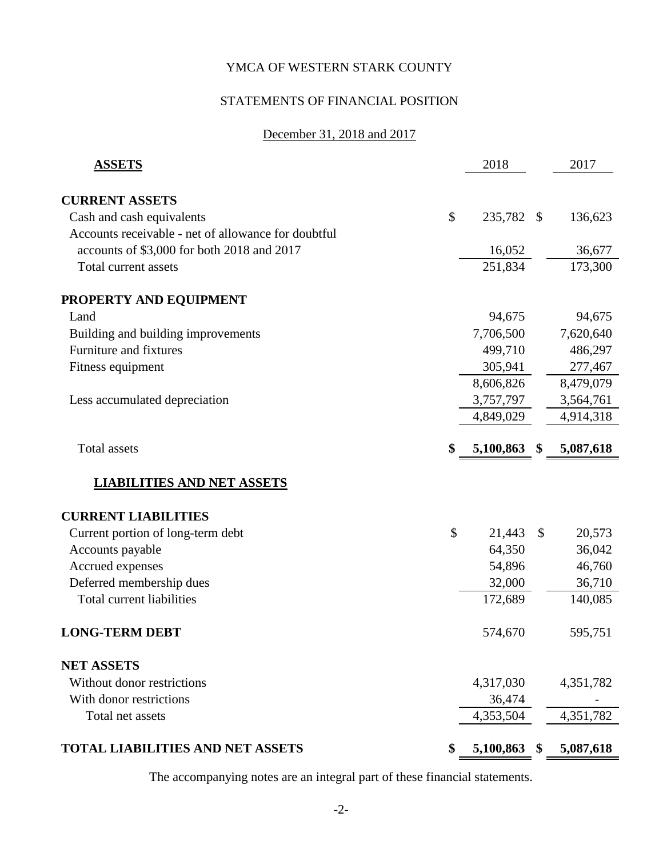# STATEMENTS OF FINANCIAL POSITION

# December 31, 2018 and 2017

| <b>ASSETS</b>                                       | 2018               |               | 2017      |
|-----------------------------------------------------|--------------------|---------------|-----------|
| <b>CURRENT ASSETS</b>                               |                    |               |           |
| Cash and cash equivalents                           | \$<br>235,782      | - \$          | 136,623   |
| Accounts receivable - net of allowance for doubtful |                    |               |           |
| accounts of \$3,000 for both 2018 and 2017          | 16,052             |               | 36,677    |
| Total current assets                                | 251,834            |               | 173,300   |
| PROPERTY AND EQUIPMENT                              |                    |               |           |
| Land                                                | 94,675             |               | 94,675    |
| Building and building improvements                  | 7,706,500          |               | 7,620,640 |
| <b>Furniture and fixtures</b>                       | 499,710            |               | 486,297   |
| Fitness equipment                                   | 305,941            |               | 277,467   |
|                                                     | 8,606,826          |               | 8,479,079 |
| Less accumulated depreciation                       | 3,757,797          |               | 3,564,761 |
|                                                     | 4,849,029          |               | 4,914,318 |
| <b>Total assets</b>                                 | \$<br>5,100,863 \$ |               | 5,087,618 |
| <b>LIABILITIES AND NET ASSETS</b>                   |                    |               |           |
| <b>CURRENT LIABILITIES</b>                          |                    |               |           |
| Current portion of long-term debt                   | \$<br>21,443       | $\mathcal{S}$ | 20,573    |
| Accounts payable                                    | 64,350             |               | 36,042    |
| Accrued expenses                                    | 54,896             |               | 46,760    |
| Deferred membership dues                            | 32,000             |               | 36,710    |
| <b>Total current liabilities</b>                    | 172,689            |               | 140,085   |
| <b>LONG-TERM DEBT</b>                               | 574,670            |               | 595,751   |
| <b>NET ASSETS</b>                                   |                    |               |           |
| Without donor restrictions                          | 4,317,030          |               | 4,351,782 |
| With donor restrictions                             | 36,474             |               |           |
| Total net assets                                    | 4,353,504          |               | 4,351,782 |
| TOTAL LIABILITIES AND NET ASSETS                    | \$<br>5,100,863    | - \$          | 5,087,618 |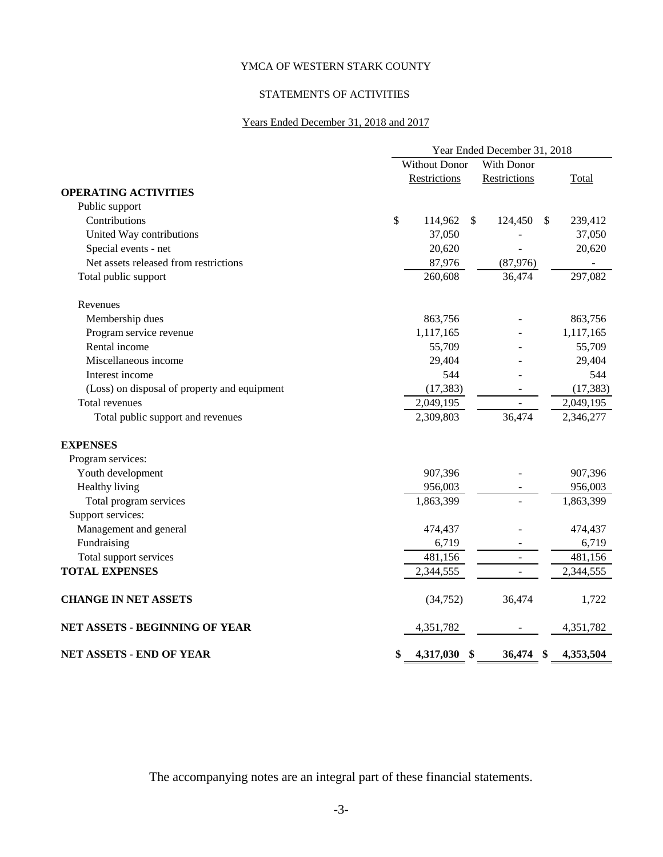# STATEMENTS OF ACTIVITIES

# Years Ended December 31, 2018 and 2017

|                                              | Year Ended December 31, 2018 |                                          |           |  |
|----------------------------------------------|------------------------------|------------------------------------------|-----------|--|
|                                              | <b>Without Donor</b>         | With Donor                               |           |  |
|                                              | Restrictions                 | Restrictions                             | Total     |  |
| <b>OPERATING ACTIVITIES</b>                  |                              |                                          |           |  |
| Public support                               |                              |                                          |           |  |
| Contributions                                | \$<br>114,962                | $\mathbb{S}$<br>124,450<br><sup>\$</sup> | 239,412   |  |
| United Way contributions                     | 37,050                       |                                          | 37,050    |  |
| Special events - net                         | 20,620                       |                                          | 20,620    |  |
| Net assets released from restrictions        | 87,976                       | (87,976)                                 |           |  |
| Total public support                         | 260,608                      | 36,474                                   | 297,082   |  |
| Revenues                                     |                              |                                          |           |  |
| Membership dues                              | 863,756                      |                                          | 863,756   |  |
| Program service revenue                      | 1,117,165                    |                                          | 1,117,165 |  |
| Rental income                                | 55,709                       |                                          | 55,709    |  |
| Miscellaneous income                         | 29,404                       |                                          | 29,404    |  |
| Interest income                              | 544                          |                                          | 544       |  |
| (Loss) on disposal of property and equipment | (17, 383)                    |                                          | (17, 383) |  |
| Total revenues                               | 2,049,195                    |                                          | 2,049,195 |  |
| Total public support and revenues            | 2,309,803                    | 36,474                                   | 2,346,277 |  |
| <b>EXPENSES</b>                              |                              |                                          |           |  |
| Program services:                            |                              |                                          |           |  |
| Youth development                            | 907,396                      |                                          | 907,396   |  |
| Healthy living                               | 956,003                      |                                          | 956,003   |  |
| Total program services                       | 1,863,399                    |                                          | 1,863,399 |  |
| Support services:                            |                              |                                          |           |  |
| Management and general                       | 474,437                      |                                          | 474,437   |  |
| Fundraising                                  | 6,719                        |                                          | 6,719     |  |
| Total support services                       | 481,156                      |                                          | 481,156   |  |
| <b>TOTAL EXPENSES</b>                        | 2,344,555                    |                                          | 2,344,555 |  |
| <b>CHANGE IN NET ASSETS</b>                  | (34,752)                     | 36,474                                   | 1,722     |  |
| <b>NET ASSETS - BEGINNING OF YEAR</b>        | 4,351,782                    |                                          | 4,351,782 |  |
| <b>NET ASSETS - END OF YEAR</b>              | \$<br>4,317,030              | \$<br>36,474<br>-SS                      | 4,353,504 |  |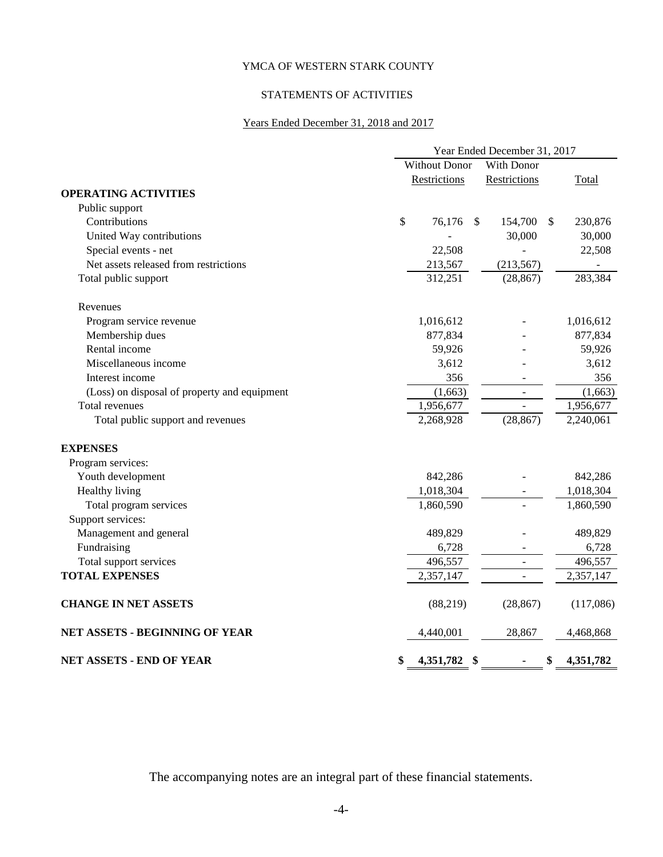# STATEMENTS OF ACTIVITIES

# Years Ended December 31, 2018 and 2017

|                                              | Year Ended December 31, 2017 |                       |           |  |
|----------------------------------------------|------------------------------|-----------------------|-----------|--|
|                                              | <b>Without Donor</b>         | With Donor            |           |  |
|                                              | Restrictions                 | Restrictions          | Total     |  |
| <b>OPERATING ACTIVITIES</b>                  |                              |                       |           |  |
| Public support                               |                              |                       |           |  |
| Contributions                                | \$<br>76,176                 | \$<br>- \$<br>154,700 | 230,876   |  |
| United Way contributions                     |                              | 30,000                | 30,000    |  |
| Special events - net                         | 22,508                       |                       | 22,508    |  |
| Net assets released from restrictions        | 213,567                      | (213, 567)            |           |  |
| Total public support                         | 312,251                      | (28, 867)             | 283,384   |  |
| Revenues                                     |                              |                       |           |  |
| Program service revenue                      | 1,016,612                    |                       | 1,016,612 |  |
| Membership dues                              | 877,834                      |                       | 877,834   |  |
| Rental income                                | 59,926                       |                       | 59,926    |  |
| Miscellaneous income                         | 3,612                        |                       | 3,612     |  |
| Interest income                              | 356                          |                       | 356       |  |
| (Loss) on disposal of property and equipment | (1,663)                      |                       | (1,663)   |  |
| Total revenues                               | 1,956,677                    |                       | 1,956,677 |  |
| Total public support and revenues            | 2,268,928                    | (28, 867)             | 2,240,061 |  |
| <b>EXPENSES</b>                              |                              |                       |           |  |
| Program services:                            |                              |                       |           |  |
| Youth development                            | 842,286                      |                       | 842,286   |  |
| Healthy living                               | 1,018,304                    |                       | 1,018,304 |  |
| Total program services                       | 1,860,590                    |                       | 1,860,590 |  |
| Support services:                            |                              |                       |           |  |
| Management and general                       | 489,829                      |                       | 489,829   |  |
| Fundraising                                  | 6,728                        |                       | 6,728     |  |
| Total support services                       | 496,557                      |                       | 496,557   |  |
| <b>TOTAL EXPENSES</b>                        | 2,357,147                    |                       | 2,357,147 |  |
| <b>CHANGE IN NET ASSETS</b>                  | (88, 219)                    | (28, 867)             | (117,086) |  |
| <b>NET ASSETS - BEGINNING OF YEAR</b>        | 4,440,001                    | 28,867                | 4,468,868 |  |
| <b>NET ASSETS - END OF YEAR</b>              | \$<br>4,351,782              | -\$<br>\$             | 4,351,782 |  |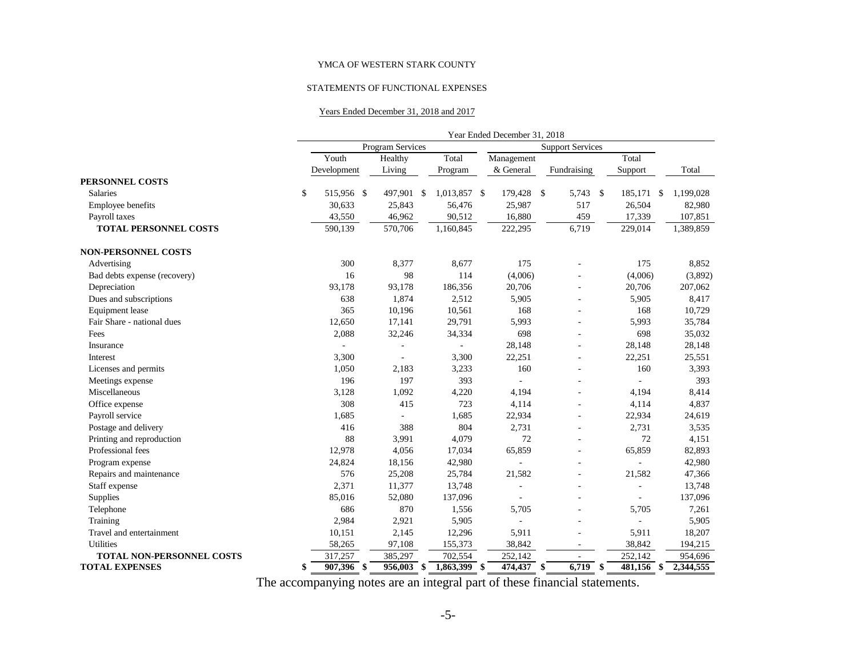#### STATEMENTS OF FUNCTIONAL EXPENSES

#### Years Ended December 31, 2018 and 2017

|                              |                    |                  |                    |              | Year Ended December 31, 2018 |      |                         |     |                |                 |
|------------------------------|--------------------|------------------|--------------------|--------------|------------------------------|------|-------------------------|-----|----------------|-----------------|
|                              |                    | Program Services |                    |              |                              |      | <b>Support Services</b> |     |                |                 |
|                              | Youth              | Healthy          |                    | Total        | Management                   |      |                         |     | Total          |                 |
|                              | Development        | Living           |                    | Program      | & General                    |      | Fundraising             |     | Support        | Total           |
| PERSONNEL COSTS              |                    |                  |                    |              |                              |      |                         |     |                |                 |
| <b>Salaries</b>              | \$<br>515,956 \$   | 497,901          | $\mathbf{\hat{s}}$ | 1,013,857 \$ | 179,428                      | - \$ | 5,743                   | \$  | 185,171        | \$<br>1,199,028 |
| Employee benefits            | 30,633             | 25,843           |                    | 56,476       | 25,987                       |      | 517                     |     | 26,504         | 82,980          |
| Payroll taxes                | 43,550             | 46,962           |                    | 90,512       | 16,880                       |      | 459                     |     | 17,339         | 107,851         |
| <b>TOTAL PERSONNEL COSTS</b> | 590,139            | 570,706          |                    | 1,160,845    | 222,295                      |      | 6,719                   |     | 229,014        | 1,389,859       |
| <b>NON-PERSONNEL COSTS</b>   |                    |                  |                    |              |                              |      |                         |     |                |                 |
| Advertising                  | 300                | 8,377            |                    | 8,677        | 175                          |      |                         |     | 175            | 8,852           |
| Bad debts expense (recovery) | 16                 | 98               |                    | 114          | (4,006)                      |      |                         |     | (4,006)        | (3,892)         |
| Depreciation                 | 93,178             | 93,178           |                    | 186,356      | 20,706                       |      | ä,                      |     | 20,706         | 207,062         |
| Dues and subscriptions       | 638                | 1,874            |                    | 2,512        | 5,905                        |      | ä,                      |     | 5,905          | 8,417           |
| Equipment lease              | 365                | 10,196           |                    | 10,561       | 168                          |      |                         |     | 168            | 10,729          |
| Fair Share - national dues   | 12,650             | 17,141           |                    | 29,791       | 5,993                        |      |                         |     | 5,993          | 35,784          |
| Fees                         | 2,088              | 32,246           |                    | 34,334       | 698                          |      |                         |     | 698            | 35,032          |
| Insurance                    | ÷,                 |                  |                    | ÷,           | 28,148                       |      |                         |     | 28,148         | 28,148          |
| Interest                     | 3,300              |                  |                    | 3,300        | 22,251                       |      |                         |     | 22,251         | 25,551          |
| Licenses and permits         | 1,050              | 2,183            |                    | 3,233        | 160                          |      | ä,                      |     | 160            | 3,393           |
| Meetings expense             | 196                | 197              |                    | 393          |                              |      |                         |     |                | 393             |
| Miscellaneous                | 3,128              | 1,092            |                    | 4,220        | 4,194                        |      |                         |     | 4,194          | 8,414           |
| Office expense               | 308                | 415              |                    | 723          | 4,114                        |      |                         |     | 4,114          | 4,837           |
| Payroll service              | 1,685              |                  |                    | 1,685        | 22,934                       |      |                         |     | 22,934         | 24,619          |
| Postage and delivery         | 416                | 388              |                    | 804          | 2,731                        |      |                         |     | 2,731          | 3,535           |
| Printing and reproduction    | 88                 | 3,991            |                    | 4,079        | 72                           |      |                         |     | 72             | 4,151           |
| Professional fees            | 12,978             | 4,056            |                    | 17,034       | 65,859                       |      |                         |     | 65,859         | 82,893          |
| Program expense              | 24,824             | 18,156           |                    | 42,980       |                              |      |                         |     | ÷.             | 42,980          |
| Repairs and maintenance      | 576                | 25,208           |                    | 25,784       | 21,582                       |      |                         |     | 21,582         | 47,366          |
| Staff expense                | 2,371              | 11,377           |                    | 13,748       | ٠                            |      |                         |     | $\overline{a}$ | 13,748          |
| Supplies                     | 85,016             | 52,080           |                    | 137,096      |                              |      |                         |     |                | 137,096         |
| Telephone                    | 686                | 870              |                    | 1,556        | 5,705                        |      |                         |     | 5,705          | 7,261           |
| Training                     | 2,984              | 2,921            |                    | 5,905        |                              |      | $\overline{a}$          |     |                | 5,905           |
| Travel and entertainment     | 10,151             | 2,145            |                    | 12,296       | 5,911                        |      |                         |     | 5,911          | 18,207          |
| Utilities                    | 58,265             | 97,108           |                    | 155,373      | 38,842                       |      | ٠                       |     | 38,842         | 194,215         |
| TOTAL NON-PERSONNEL COSTS    | 317,257            | 385,297          |                    | 702,554      | 252,142                      |      |                         |     | 252,142        | 954,696         |
| <b>TOTAL EXPENSES</b>        | \$<br>$907,396$ \$ | 956,003 \$       |                    | 1,863,399 \$ | $474,437$ \$                 |      | $\sqrt{6,719}$          | -\$ | $481,156$ \$   | 2,344,555       |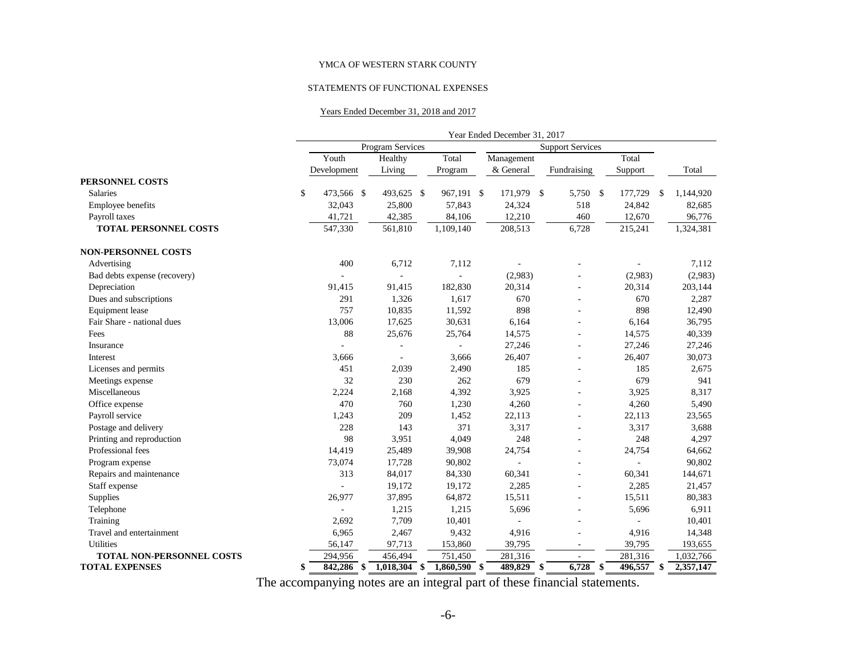#### STATEMENTS OF FUNCTIONAL EXPENSES

#### Years Ended December 31, 2018 and 2017

|                                  |                      |                                  |                          | Year Ended December 31, 2017 |                          |                     |           |
|----------------------------------|----------------------|----------------------------------|--------------------------|------------------------------|--------------------------|---------------------|-----------|
|                                  | Program Services     |                                  |                          |                              |                          |                     |           |
|                                  | Youth                | Healthy                          | Total                    | Management                   |                          | Total               |           |
|                                  | Development          | Living                           | Program                  | & General                    | Fundraising              | Support             | Total     |
| PERSONNEL COSTS                  |                      |                                  |                          |                              |                          |                     |           |
| Salaries                         | \$<br>473,566<br>-\$ | 493,625 \$                       | 967,191 \$               | 171,979                      | $\mathbb{S}$<br>5,750    | \$<br>177,729<br>\$ | 1,144,920 |
| Employee benefits                | 32,043               | 25,800                           | 57,843                   | 24,324                       | 518                      | 24,842              | 82,685    |
| Payroll taxes                    | 41,721               | 42,385                           | 84,106                   | 12,210                       | 460                      | 12,670              | 96,776    |
| <b>TOTAL PERSONNEL COSTS</b>     | 547,330              | 561,810                          | 1,109,140                | 208,513                      | 6,728                    | 215,241             | 1,324,381 |
| <b>NON-PERSONNEL COSTS</b>       |                      |                                  |                          |                              |                          |                     |           |
| Advertising                      | 400                  | 6,712                            | 7,112                    |                              |                          |                     | 7,112     |
| Bad debts expense (recovery)     | $\bar{a}$            |                                  | ä,                       | (2,983)                      |                          | (2,983)             | (2,983)   |
| Depreciation                     | 91,415               | 91,415                           | 182,830                  | 20,314                       | $\overline{\phantom{a}}$ | 20,314              | 203,144   |
| Dues and subscriptions           | 291                  | 1,326                            | 1,617                    | 670                          | ÷.                       | 670                 | 2,287     |
| Equipment lease                  | 757                  | 10,835                           | 11,592                   | 898                          | ÷.                       | 898                 | 12,490    |
| Fair Share - national dues       | 13,006               | 17,625                           | 30,631                   | 6,164                        |                          | 6,164               | 36,795    |
| Fees                             | 88                   | 25,676                           | 25,764                   | 14,575                       |                          | 14,575              | 40,339    |
| Insurance                        | ÷,                   |                                  | $\overline{\phantom{a}}$ | 27,246                       |                          | 27,246              | 27,246    |
| Interest                         | 3,666                |                                  | 3,666                    | 26,407                       | $\overline{a}$           | 26,407              | 30,073    |
| Licenses and permits             | 451                  | 2,039                            | 2,490                    | 185                          | $\overline{\phantom{a}}$ | 185                 | 2,675     |
| Meetings expense                 | 32                   | 230                              | 262                      | 679                          |                          | 679                 | 941       |
| Miscellaneous                    | 2,224                | 2,168                            | 4,392                    | 3,925                        |                          | 3,925               | 8,317     |
| Office expense                   | 470                  | 760                              | 1,230                    | 4,260                        |                          | 4,260               | 5,490     |
| Payroll service                  | 1,243                | 209                              | 1,452                    | 22,113                       |                          | 22,113              | 23,565    |
| Postage and delivery             | 228                  | 143                              | 371                      | 3,317                        |                          | 3,317               | 3,688     |
| Printing and reproduction        | 98                   | 3,951                            | 4,049                    | 248                          |                          | 248                 | 4,297     |
| Professional fees                | 14,419               | 25,489                           | 39,908                   | 24,754                       |                          | 24,754              | 64,662    |
| Program expense                  | 73,074               | 17,728                           | 90,802                   | ÷,                           |                          |                     | 90,802    |
| Repairs and maintenance          | 313                  | 84,017                           | 84,330                   | 60,341                       |                          | 60,341              | 144,671   |
| Staff expense                    | ÷.                   | 19,172                           | 19,172                   | 2,285                        | $\overline{a}$           | 2,285               | 21,457    |
| Supplies                         | 26,977               | 37,895                           | 64,872                   | 15,511                       | ÷.                       | 15,511              | 80,383    |
| Telephone                        | ÷,                   | 1,215                            | 1,215                    | 5,696                        | ÷.                       | 5,696               | 6,911     |
| Training                         | 2,692                | 7,709                            | 10,401                   | $\sim$                       | $\overline{\phantom{a}}$ | ÷,                  | 10,401    |
| Travel and entertainment         | 6,965                | 2,467                            | 9,432                    | 4,916                        |                          | 4,916               | 14,348    |
| Utilities                        | 56,147               | 97,713                           | 153,860                  | 39,795                       | $\sim$                   | 39,795              | 193,655   |
| <b>TOTAL NON-PERSONNEL COSTS</b> | 294,956              | 456,494                          | 751,450                  | 281,316                      |                          | 281,316             | 1,032,766 |
| <b>TOTAL EXPENSES</b>            | 842,286<br>\$        | $\overline{1,018,304}$ \$<br>-\$ | $1,860,590$ \$           | 489,829                      | 6,728<br>\$              | 496,557<br>\$<br>\$ | 2,357,147 |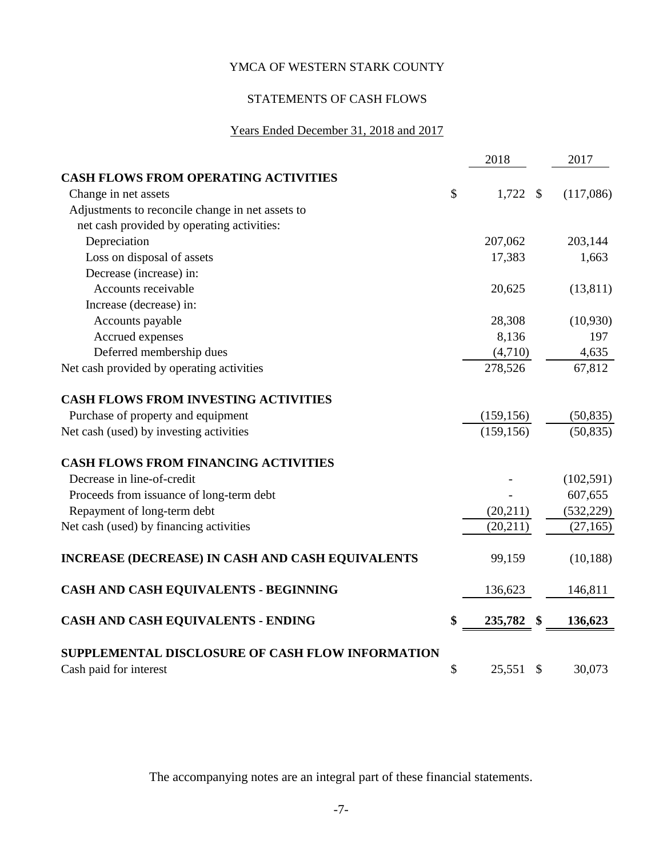# STATEMENTS OF CASH FLOWS

# Years Ended December 31, 2018 and 2017

|                                                         | 2018                          | 2017       |
|---------------------------------------------------------|-------------------------------|------------|
| <b>CASH FLOWS FROM OPERATING ACTIVITIES</b>             |                               |            |
| Change in net assets                                    | \$<br>$1,722$ \$              | (117,086)  |
| Adjustments to reconcile change in net assets to        |                               |            |
| net cash provided by operating activities:              |                               |            |
| Depreciation                                            | 207,062                       | 203,144    |
| Loss on disposal of assets                              | 17,383                        | 1,663      |
| Decrease (increase) in:                                 |                               |            |
| Accounts receivable                                     | 20,625                        | (13, 811)  |
| Increase (decrease) in:                                 |                               |            |
| Accounts payable                                        | 28,308                        | (10,930)   |
| Accrued expenses                                        | 8,136                         | 197        |
| Deferred membership dues                                | (4,710)                       | 4,635      |
| Net cash provided by operating activities               | 278,526                       | 67,812     |
| <b>CASH FLOWS FROM INVESTING ACTIVITIES</b>             |                               |            |
| Purchase of property and equipment                      | (159, 156)                    | (50, 835)  |
| Net cash (used) by investing activities                 | (159, 156)                    | (50, 835)  |
| <b>CASH FLOWS FROM FINANCING ACTIVITIES</b>             |                               |            |
| Decrease in line-of-credit                              |                               | (102, 591) |
| Proceeds from issuance of long-term debt                |                               | 607,655    |
| Repayment of long-term debt                             | (20, 211)                     | (532, 229) |
| Net cash (used) by financing activities                 | (20, 211)                     | (27, 165)  |
| <b>INCREASE (DECREASE) IN CASH AND CASH EQUIVALENTS</b> | 99,159                        | (10, 188)  |
| <b>CASH AND CASH EQUIVALENTS - BEGINNING</b>            | 136,623                       | 146,811    |
| CASH AND CASH EQUIVALENTS - ENDING                      | \$<br>235,782<br>\$           | 136,623    |
| SUPPLEMENTAL DISCLOSURE OF CASH FLOW INFORMATION        |                               |            |
| Cash paid for interest                                  | \$<br>25,551<br>$\mathcal{S}$ | 30,073     |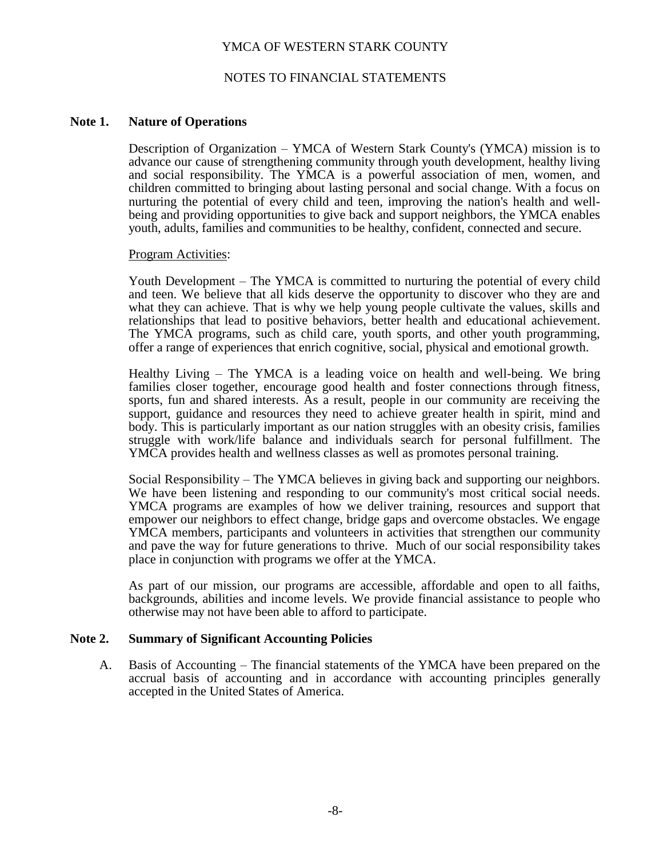### NOTES TO FINANCIAL STATEMENTS

#### **Note 1. Nature of Operations**

Description of Organization – YMCA of Western Stark County's (YMCA) mission is to advance our cause of strengthening community through youth development, healthy living and social responsibility. The YMCA is a powerful association of men, women, and children committed to bringing about lasting personal and social change. With a focus on nurturing the potential of every child and teen, improving the nation's health and wellbeing and providing opportunities to give back and support neighbors, the YMCA enables youth, adults, families and communities to be healthy, confident, connected and secure.

#### Program Activities:

Youth Development – The YMCA is committed to nurturing the potential of every child and teen. We believe that all kids deserve the opportunity to discover who they are and what they can achieve. That is why we help young people cultivate the values, skills and relationships that lead to positive behaviors, better health and educational achievement. The YMCA programs, such as child care, youth sports, and other youth programming, offer a range of experiences that enrich cognitive, social, physical and emotional growth.

Healthy Living – The YMCA is a leading voice on health and well-being. We bring families closer together, encourage good health and foster connections through fitness, sports, fun and shared interests. As a result, people in our community are receiving the support, guidance and resources they need to achieve greater health in spirit, mind and body. This is particularly important as our nation struggles with an obesity crisis, families struggle with work/life balance and individuals search for personal fulfillment. The YMCA provides health and wellness classes as well as promotes personal training.

Social Responsibility – The YMCA believes in giving back and supporting our neighbors. We have been listening and responding to our community's most critical social needs. YMCA programs are examples of how we deliver training, resources and support that empower our neighbors to effect change, bridge gaps and overcome obstacles. We engage YMCA members, participants and volunteers in activities that strengthen our community and pave the way for future generations to thrive. Much of our social responsibility takes place in conjunction with programs we offer at the YMCA.

As part of our mission, our programs are accessible, affordable and open to all faiths, backgrounds, abilities and income levels. We provide financial assistance to people who otherwise may not have been able to afford to participate.

#### **Note 2. Summary of Significant Accounting Policies**

A. Basis of Accounting – The financial statements of the YMCA have been prepared on the accrual basis of accounting and in accordance with accounting principles generally accepted in the United States of America.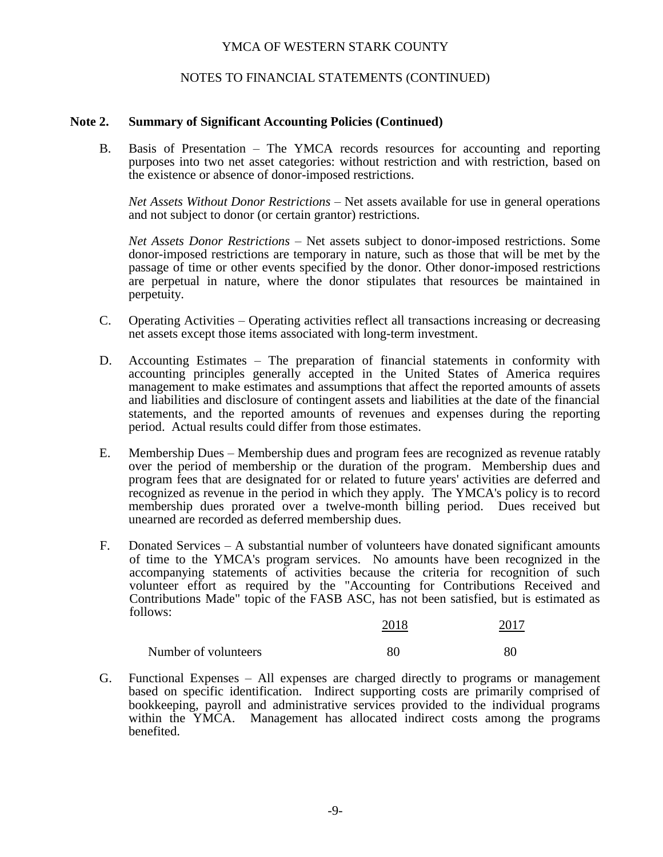# NOTES TO FINANCIAL STATEMENTS (CONTINUED)

### **Note 2. Summary of Significant Accounting Policies (Continued)**

B. Basis of Presentation – The YMCA records resources for accounting and reporting purposes into two net asset categories: without restriction and with restriction, based on the existence or absence of donor-imposed restrictions.

*Net Assets Without Donor Restrictions* – Net assets available for use in general operations and not subject to donor (or certain grantor) restrictions.

*Net Assets Donor Restrictions* – Net assets subject to donor-imposed restrictions. Some donor-imposed restrictions are temporary in nature, such as those that will be met by the passage of time or other events specified by the donor. Other donor-imposed restrictions are perpetual in nature, where the donor stipulates that resources be maintained in perpetuity.

- C. Operating Activities Operating activities reflect all transactions increasing or decreasing net assets except those items associated with long-term investment.
- D. Accounting Estimates The preparation of financial statements in conformity with accounting principles generally accepted in the United States of America requires management to make estimates and assumptions that affect the reported amounts of assets and liabilities and disclosure of contingent assets and liabilities at the date of the financial statements, and the reported amounts of revenues and expenses during the reporting period. Actual results could differ from those estimates.
- E. Membership Dues Membership dues and program fees are recognized as revenue ratably over the period of membership or the duration of the program. Membership dues and program fees that are designated for or related to future years' activities are deferred and recognized as revenue in the period in which they apply. The YMCA's policy is to record membership dues prorated over a twelve-month billing period. Dues received but unearned are recorded as deferred membership dues.
- F. Donated Services A substantial number of volunteers have donated significant amounts of time to the YMCA's program services. No amounts have been recognized in the accompanying statements of activities because the criteria for recognition of such volunteer effort as required by the "Accounting for Contributions Received and Contributions Made" topic of the FASB ASC, has not been satisfied, but is estimated as follows:

|                      | 2018 | 2017 |
|----------------------|------|------|
| Number of volunteers | 80   | 80   |

G. Functional Expenses – All expenses are charged directly to programs or management based on specific identification. Indirect supporting costs are primarily comprised of bookkeeping, payroll and administrative services provided to the individual programs within the YMCA. Management has allocated indirect costs among the programs benefited.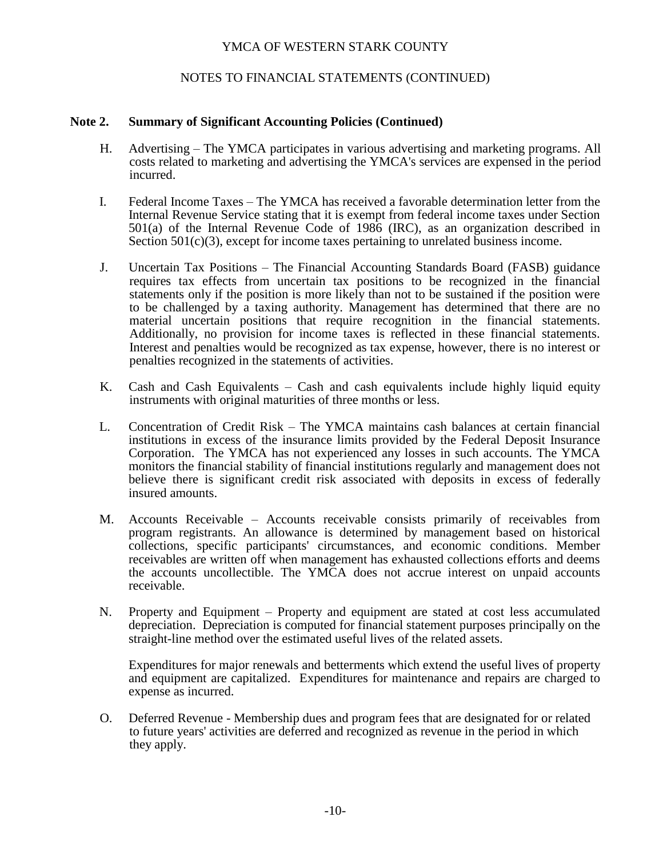# NOTES TO FINANCIAL STATEMENTS (CONTINUED)

### **Note 2. Summary of Significant Accounting Policies (Continued)**

- H. Advertising The YMCA participates in various advertising and marketing programs. All costs related to marketing and advertising the YMCA's services are expensed in the period incurred.
- I. Federal Income Taxes The YMCA has received a favorable determination letter from the Internal Revenue Service stating that it is exempt from federal income taxes under Section 501(a) of the Internal Revenue Code of 1986 (IRC), as an organization described in Section 501(c)(3), except for income taxes pertaining to unrelated business income.
- J. Uncertain Tax Positions The Financial Accounting Standards Board (FASB) guidance requires tax effects from uncertain tax positions to be recognized in the financial statements only if the position is more likely than not to be sustained if the position were to be challenged by a taxing authority. Management has determined that there are no material uncertain positions that require recognition in the financial statements. Additionally, no provision for income taxes is reflected in these financial statements. Interest and penalties would be recognized as tax expense, however, there is no interest or penalties recognized in the statements of activities.
- K. Cash and Cash Equivalents Cash and cash equivalents include highly liquid equity instruments with original maturities of three months or less.
- L. Concentration of Credit Risk The YMCA maintains cash balances at certain financial institutions in excess of the insurance limits provided by the Federal Deposit Insurance Corporation. The YMCA has not experienced any losses in such accounts. The YMCA monitors the financial stability of financial institutions regularly and management does not believe there is significant credit risk associated with deposits in excess of federally insured amounts.
- M. Accounts Receivable Accounts receivable consists primarily of receivables from program registrants. An allowance is determined by management based on historical collections, specific participants' circumstances, and economic conditions. Member receivables are written off when management has exhausted collections efforts and deems the accounts uncollectible. The YMCA does not accrue interest on unpaid accounts receivable.
- N. Property and Equipment Property and equipment are stated at cost less accumulated depreciation. Depreciation is computed for financial statement purposes principally on the straight-line method over the estimated useful lives of the related assets.

Expenditures for major renewals and betterments which extend the useful lives of property and equipment are capitalized. Expenditures for maintenance and repairs are charged to expense as incurred.

O. Deferred Revenue - Membership dues and program fees that are designated for or related to future years' activities are deferred and recognized as revenue in the period in which they apply.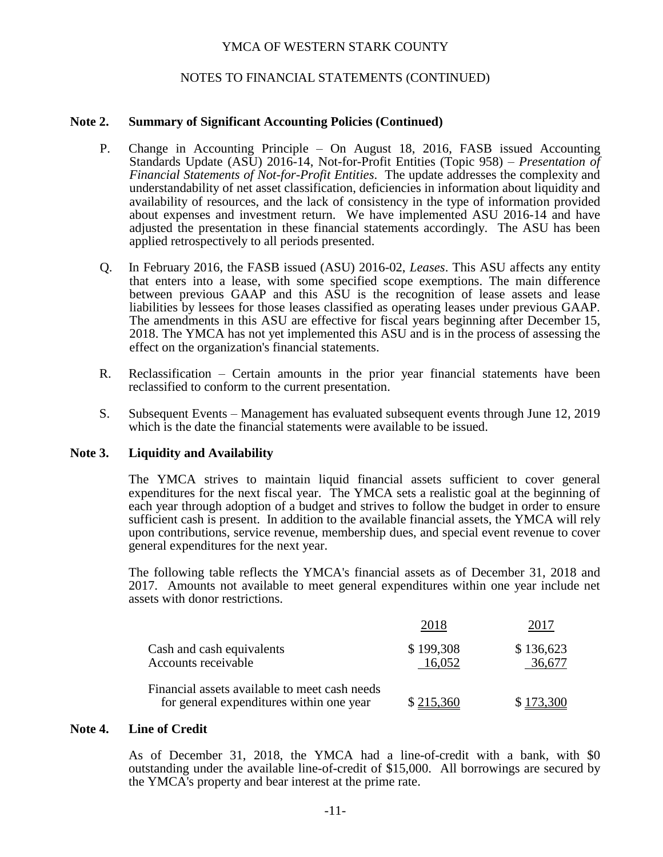# NOTES TO FINANCIAL STATEMENTS (CONTINUED)

#### **Note 2. Summary of Significant Accounting Policies (Continued)**

- P. Change in Accounting Principle On August 18, 2016, FASB issued Accounting Standards Update (ASU) 2016-14, Not-for-Profit Entities (Topic 958) – *Presentation of Financial Statements of Not-for-Profit Entities*. The update addresses the complexity and understandability of net asset classification, deficiencies in information about liquidity and availability of resources, and the lack of consistency in the type of information provided about expenses and investment return. We have implemented ASU 2016-14 and have adjusted the presentation in these financial statements accordingly. The ASU has been applied retrospectively to all periods presented.
- Q. In February 2016, the FASB issued (ASU) 2016-02, *Leases*. This ASU affects any entity that enters into a lease, with some specified scope exemptions. The main difference between previous GAAP and this ASU is the recognition of lease assets and lease liabilities by lessees for those leases classified as operating leases under previous GAAP. The amendments in this ASU are effective for fiscal years beginning after December 15, 2018. The YMCA has not yet implemented this ASU and is in the process of assessing the effect on the organization's financial statements.
- R. Reclassification Certain amounts in the prior year financial statements have been reclassified to conform to the current presentation.
- S. Subsequent Events Management has evaluated subsequent events through June 12, 2019 which is the date the financial statements were available to be issued.

#### **Note 3. Liquidity and Availability**

The YMCA strives to maintain liquid financial assets sufficient to cover general expenditures for the next fiscal year. The YMCA sets a realistic goal at the beginning of each year through adoption of a budget and strives to follow the budget in order to ensure sufficient cash is present. In addition to the available financial assets, the YMCA will rely upon contributions, service revenue, membership dues, and special event revenue to cover general expenditures for the next year.

The following table reflects the YMCA's financial assets as of December 31, 2018 and 2017. Amounts not available to meet general expenditures within one year include net assets with donor restrictions.

|                                                                                           | 2018                |                     |
|-------------------------------------------------------------------------------------------|---------------------|---------------------|
| Cash and cash equivalents<br>Accounts receivable                                          | \$199,308<br>16.052 | \$136,623<br>36.677 |
| Financial assets available to meet cash needs<br>for general expenditures within one year | \$215,360           | \$173,300           |

#### **Note 4. Line of Credit**

As of December 31, 2018, the YMCA had a line-of-credit with a bank, with \$0 outstanding under the available line-of-credit of \$15,000. All borrowings are secured by the YMCA's property and bear interest at the prime rate.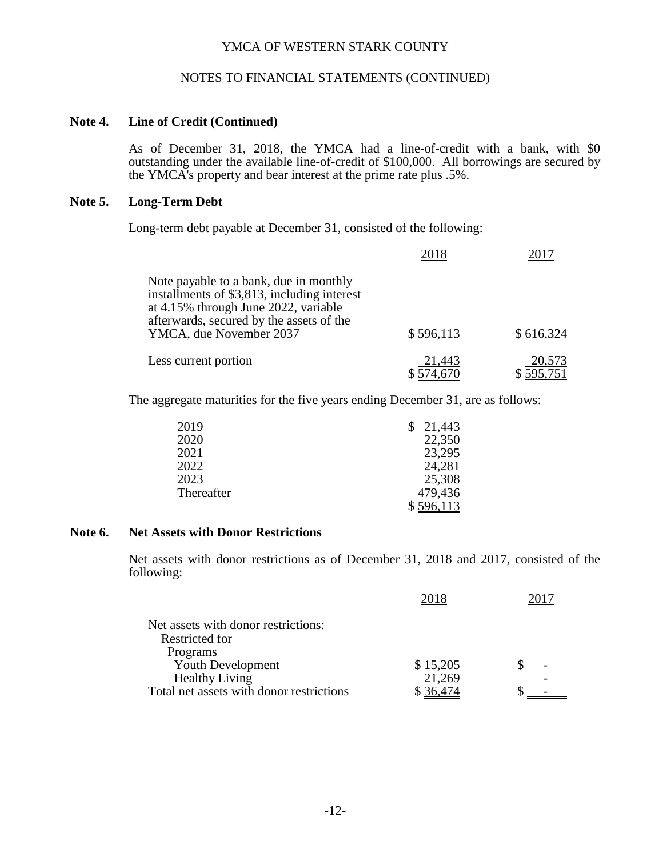### NOTES TO FINANCIAL STATEMENTS (CONTINUED)

#### **Note 4. Line of Credit (Continued)**

As of December 31, 2018, the YMCA had a line-of-credit with a bank, with \$0 outstanding under the available line-of-credit of \$100,000. All borrowings are secured by the YMCA's property and bear interest at the prime rate plus .5%.

# **Note 5. Long-Term Debt**

Long-term debt payable at December 31, consisted of the following:

|                                                                                                                                                                                                      | 2018                | 2017                |
|------------------------------------------------------------------------------------------------------------------------------------------------------------------------------------------------------|---------------------|---------------------|
| Note payable to a bank, due in monthly<br>installments of \$3,813, including interest<br>at 4.15% through June 2022, variable<br>afterwards, secured by the assets of the<br>YMCA, due November 2037 | \$596,113           | \$616,324           |
| Less current portion                                                                                                                                                                                 | 21,443<br>\$574,670 | 20,573<br>\$595,751 |

The aggregate maturities for the five years ending December 31, are as follows:

| 2019       | 21,443  |
|------------|---------|
| 2020       | 22,350  |
| 2021       | 23,295  |
| 2022       | 24,281  |
| 2023       | 25,308  |
| Thereafter | 479,436 |
|            | 5,113   |

#### **Note 6. Net Assets with Donor Restrictions**

Net assets with donor restrictions as of December 31, 2018 and 2017, consisted of the following:

|                                          | 2018     |  |
|------------------------------------------|----------|--|
| Net assets with donor restrictions:      |          |  |
| Restricted for                           |          |  |
| Programs                                 |          |  |
| Youth Development                        | \$15,205 |  |
| <b>Healthy Living</b>                    | 21,269   |  |
| Total net assets with donor restrictions |          |  |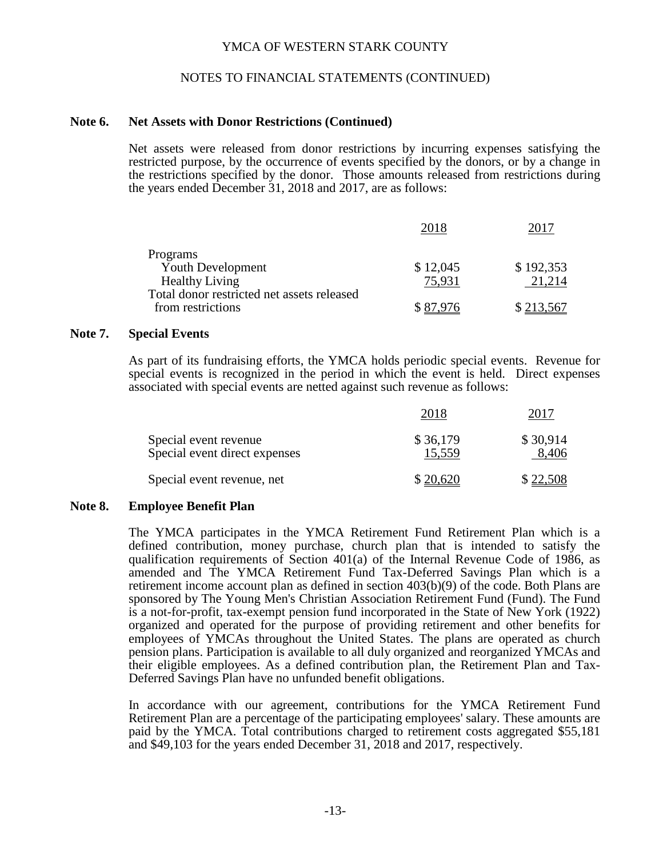### NOTES TO FINANCIAL STATEMENTS (CONTINUED)

#### **Note 6. Net Assets with Donor Restrictions (Continued)**

Net assets were released from donor restrictions by incurring expenses satisfying the restricted purpose, by the occurrence of events specified by the donors, or by a change in the restrictions specified by the donor. Those amounts released from restrictions during the years ended December 31, 2018 and 2017, are as follows:

|                                            | 2018     |           |
|--------------------------------------------|----------|-----------|
| Programs                                   |          |           |
| Youth Development                          | \$12,045 | \$192,353 |
| <b>Healthy Living</b>                      | 75.931   | 21,214    |
| Total donor restricted net assets released |          |           |
| from restrictions                          | \$87.976 | \$213,567 |

#### **Note 7. Special Events**

As part of its fundraising efforts, the YMCA holds periodic special events. Revenue for special events is recognized in the period in which the event is held. Direct expenses associated with special events are netted against such revenue as follows:

|                                                        | 2018               | 2017              |
|--------------------------------------------------------|--------------------|-------------------|
| Special event revenue<br>Special event direct expenses | \$36,179<br>15,559 | \$30,914<br>8,406 |
| Special event revenue, net                             | \$20,620           | \$22,508          |

#### **Note 8. Employee Benefit Plan**

The YMCA participates in the YMCA Retirement Fund Retirement Plan which is a defined contribution, money purchase, church plan that is intended to satisfy the qualification requirements of Section 401(a) of the Internal Revenue Code of 1986, as amended and The YMCA Retirement Fund Tax-Deferred Savings Plan which is a retirement income account plan as defined in section 403(b)(9) of the code. Both Plans are sponsored by The Young Men's Christian Association Retirement Fund (Fund). The Fund is a not-for-profit, tax-exempt pension fund incorporated in the State of New York (1922) organized and operated for the purpose of providing retirement and other benefits for employees of YMCAs throughout the United States. The plans are operated as church pension plans. Participation is available to all duly organized and reorganized YMCAs and their eligible employees. As a defined contribution plan, the Retirement Plan and Tax-Deferred Savings Plan have no unfunded benefit obligations.

In accordance with our agreement, contributions for the YMCA Retirement Fund Retirement Plan are a percentage of the participating employees' salary. These amounts are paid by the YMCA. Total contributions charged to retirement costs aggregated \$55,181 and \$49,103 for the years ended December 31, 2018 and 2017, respectively.